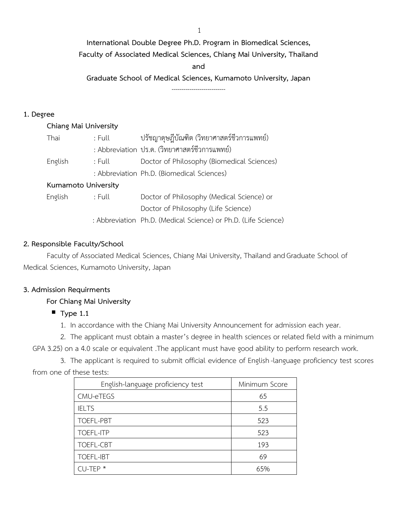1

**International Double Degree Ph.D. Program in Biomedical Sciences,** 

**Faculty of Associated Medical Sciences, Chiang Mai University, Thailand**

**and**

**Graduate School of Medical Sciences, Kumamoto University, Japan**

---------------------------

# **1. Degree**

| Chiang Mai University |        |                                                                |  |  |  |  |  |  |
|-----------------------|--------|----------------------------------------------------------------|--|--|--|--|--|--|
| Thai                  | : Full | ปรัชญาดุษฎีบัณฑิต (วิทยาศาสตร์ชีวการแพทย์)                     |  |  |  |  |  |  |
|                       |        | : Abbreviation ปร.ด. (วิทยาศาสตร์ชีวการแพทย์)                  |  |  |  |  |  |  |
| English               | : Full | Doctor of Philosophy (Biomedical Sciences)                     |  |  |  |  |  |  |
|                       |        | : Abbreviation Ph.D. (Biomedical Sciences)                     |  |  |  |  |  |  |
| Kumamoto University   |        |                                                                |  |  |  |  |  |  |
| English               | : Full | Doctor of Philosophy (Medical Science) or                      |  |  |  |  |  |  |
|                       |        | Doctor of Philosophy (Life Science)                            |  |  |  |  |  |  |
|                       |        | : Abbreviation Ph.D. (Medical Science) or Ph.D. (Life Science) |  |  |  |  |  |  |

# **2. Responsible Faculty/School**

Faculty of Associated Medical Sciences, Chiang Mai University, Thailand and Graduate School of Medical Sciences, Kumamoto University, Japan

# **3. Admission Requirments**

# **For Chiang Mai University**

- **Type 1.1** 
	- 1. In accordance with the Chiang Mai University Announcement for admission each year.

2. The applicant must obtain a master's degree in health sciences or related field with a minimum GPA 3.25) on a 4.0 scale or equivalent .The applicant must have good ability to perform research work.

3. The applicant is required to submit official evidence of English -language proficiency test scores from one of these tests:

| English-language proficiency test | Minimum Score |
|-----------------------------------|---------------|
| CMU-eTEGS                         | 65            |
| <b>IELTS</b>                      | 5.5           |
| TOEFL-PBT                         | 523           |
| <b>TOEFL-ITP</b>                  | 523           |
| TOEFL-CBT                         | 193           |
| <b>TOEFL-IBT</b>                  | 69            |
| $CU-TEP$ *                        | 65%           |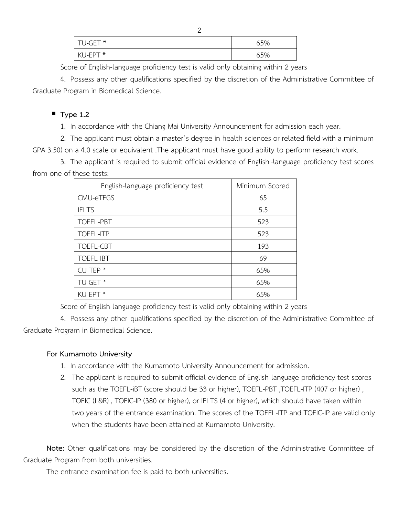| TU-GET*      | 65% |  |
|--------------|-----|--|
| KI I-FPT $*$ | 65% |  |

Score of English-language proficiency test is valid only obtaining within 2 years

4. Possess any other qualifications specified by the discretion of the Administrative Committee of Graduate Program in Biomedical Science.

# ▪ **Type 1.2**

1. In accordance with the Chiang Mai University Announcement for admission each year.

2. The applicant must obtain a master's degree in health sciences or related field with a minimum GPA 3.50) on a 4.0 scale or equivalent .The applicant must have good ability to perform research work.

3. The applicant is required to submit official evidence of English -language proficiency test scores from one of these tests:

| English-language proficiency test | Minimum Scored |
|-----------------------------------|----------------|
| CMU-eTEGS                         | 65             |
| <b>IELTS</b>                      | 5.5            |
| <b>TOEFL-PBT</b>                  | 523            |
| <b>TOEFL-ITP</b>                  | 523            |
| TOEFL-CBT                         | 193            |
| <b>TOEFL-IBT</b>                  | 69             |
| $CU-TEP$ *                        | 65%            |
| TU-GET <sup>*</sup>               | 65%            |
| KU-EPT <sup>*</sup>               | 65%            |

Score of English-language proficiency test is valid only obtaining within 2 years

4. Possess any other qualifications specified by the discretion of the Administrative Committee of Graduate Program in Biomedical Science.

# **For Kumamoto University**

- 1. In accordance with the Kumamoto University Announcement for admission.
- 2. The applicant is required to submit official evidence of English-language proficiency test scores such as the TOEFL-iBT (score should be 33 or higher), TOEFL-PBT ,TOEFL-ITP (407 or higher) , TOEIC (L&R) , TOEIC-IP (380 or higher), or IELTS (4 or higher), which should have taken within two years of the entrance examination. The scores of the TOEFL-ITP and TOEIC-IP are valid only when the students have been attained at Kumamoto University.

**Note:** Other qualifications may be considered by the discretion of the Administrative Committee of Graduate Program from both universities.

The entrance examination fee is paid to both universities.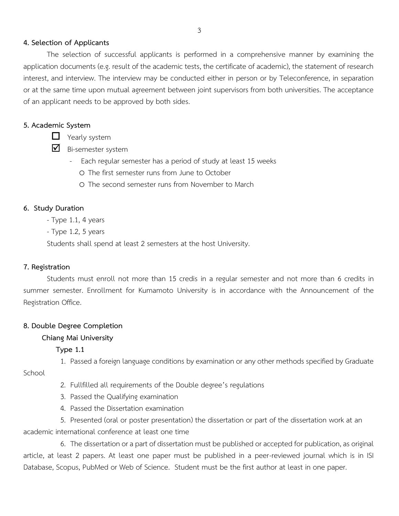### **4. Selection of Applicants**

The selection of successful applicants is performed in a comprehensive manner by examining the application documents (e.g. result of the academic tests, the certificate of academic), the statement of research interest, and interview. The interview may be conducted either in person or by Teleconference, in separation or at the same time upon mutual agreement between joint supervisors from both universities. The acceptance of an applicant needs to be approved by both sides.

# **5. Academic System**

 $\Box$  Yearly system

 $\blacksquare$  Bi-semester system

- Each regular semester has a period of study at least 15 weeks
	- o The first semester runs from June to October
	- o The second semester runs from November to March

### **6. Study Duration**

- Type 1.1, 4 years
- Type 1.2, 5 years

Students shall spend at least 2 semesters at the host University.

# **7. Registration**

Students must enroll not more than 15 credis in a regular semester and not more than 6 credits in summer semester. Enrollment for Kumamoto University is in accordance with the Announcement of the Registration Office.

# **8. Double Degree Completion**

# **Chiang Mai University**

# **Type 1.1**

1. Passed a foreign language conditions by examination or any other methods specified by Graduate

**School** 

- 2. Fullfilled all requirements of the Double degree's regulations
- 3. Passed the Qualifying examination
- 4. Passed the Dissertation examination

5. Presented (oral or poster presentation) the dissertation or part of the dissertation work at an academic international conference at least one time

6. The dissertation or a part of dissertation must be published or accepted for publication, as original article, at least 2 papers. At least one paper must be published in a peer-reviewed journal which is in ISI Database, Scopus, PubMed or Web of Science. Student must be the first author at least in one paper.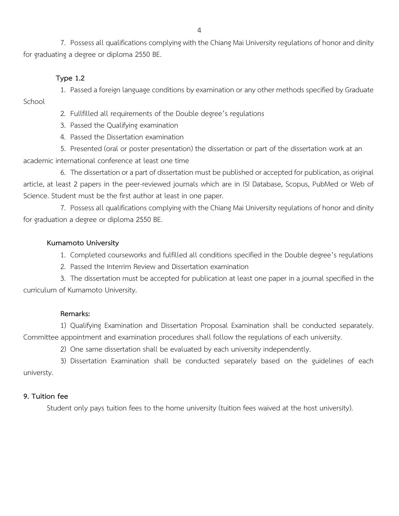7. Possess all qualifications complying with the Chiang Mai University regulations of honor and dinity for graduating a degree or diploma 2550 BE.

### **Type 1.2**

1. Passed a foreign language conditions by examination or any other methods specified by Graduate School

2. Fullfilled all requirements of the Double degree's regulations

3. Passed the Qualifying examination

4. Passed the Dissertation examination

5. Presented (oral or poster presentation) the dissertation or part of the dissertation work at an academic international conference at least one time

6. The dissertation or a part of dissertation must be published or accepted for publication, as original article, at least 2 papers in the peer-reviewed journals which are in ISI Database, Scopus, PubMed or Web of Science. Student must be the first author at least in one paper.

7. Possess all qualifications complying with the Chiang Mai University regulations of honor and dinity for graduation a degree or diploma 2550 BE.

### **Kumamoto University**

1. Completed courseworks and fulfilled all conditions specified in the Double degree's regulations

2. Passed the Interrim Review and Dissertation examination

3. The dissertation must be accepted for publication at least one paper in a journal specified in the curriculum of Kumamoto University.

### **Remarks:**

1) Qualifying Examination and Dissertation Proposal Examination shall be conducted separately. Committee appointment and examination procedures shall follow the regulations of each university.

2) One same dissertation shall be evaluated by each university independently.

3) Dissertation Examination shall be conducted separately based on the guidelines of each universty.

### **9. Tuition fee**

Student only pays tuition fees to the home university (tuition fees waived at the host university).

4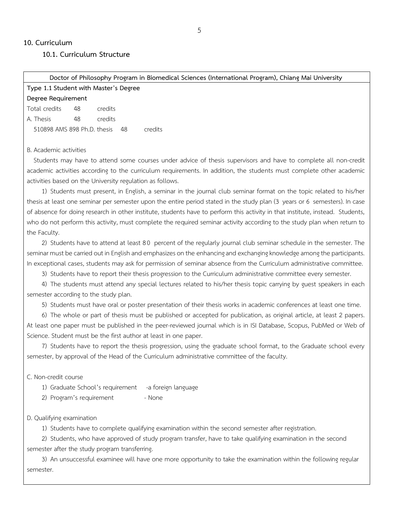### **10. Curriculum**

 **10.1. Curriculum Structure**

#### **Doctor of Philosophy Program in Biomedical Sciences (International Program), Chiang Mai University**

| Type 1.1 Student with Master's Degree |    |         |    |         |  |  |  |  |
|---------------------------------------|----|---------|----|---------|--|--|--|--|
| Degree Requirement                    |    |         |    |         |  |  |  |  |
| Total credits                         | 48 | credits |    |         |  |  |  |  |
| A. Thesis                             | 48 | credits |    |         |  |  |  |  |
| 510898 AMS 898 Ph.D. thesis           |    |         | 48 | credits |  |  |  |  |

#### B. Academic activities

Students may have to attend some courses under advice of thesis supervisors and have to complete all non-credit academic activities according to the curriculum requirements. In addition, the students must complete other academic activities based on the University regulation as follows.

1) Students must present, in English, a seminar in the journal club seminar format on the topic related to his/her thesis at least one seminar per semester upon the entire period stated in the study plan (3 years or 6 semesters). In case of absence for doing research in other institute, students have to perform this activity in that institute, instead. Students, who do not perform this activity, must complete the required seminar activity according to the study plan when return to the Faculty.

2) Students have to attend at least 80 percent of the regularly journal club seminar schedule in the semester. The seminar must be carried out in English and emphasizes on the enhancing and exchanging knowledge among the participants. In exceptional cases, students may ask for permission of seminar absence from the Curriculum administrative committee.

3) Students have to report their thesis progression to the Curriculum administrative committee every semester.

4) The students must attend any special lectures related to his/her thesis topic carrying by guest speakers in each semester according to the study plan.

5) Students must have oral or poster presentation of their thesis works in academic conferences at least one time.

6) The whole or part of thesis must be published or accepted for publication, as original article, at least 2 papers. At least one paper must be published in the peer-reviewed journal which is in ISI Database, Scopus, PubMed or Web of Science. Student must be the first author at least in one paper.

7) Students have to report the thesis progression, using the graduate school format, to the Graduate school every semester, by approval of the Head of the Curriculum administrative committee of the faculty.

C. Non-credit course

1) Graduate School's requirement -a foreign language

2) Program's requirement - None

D. Qualifying examination

1) Students have to complete qualifying examination within the second semester after registration.

2) Students, who have approved of study program transfer, have to take qualifying examination in the second semester after the study program transferring.

3) An unsuccessful examinee will have one more opportunity to take the examination within the following regular semester.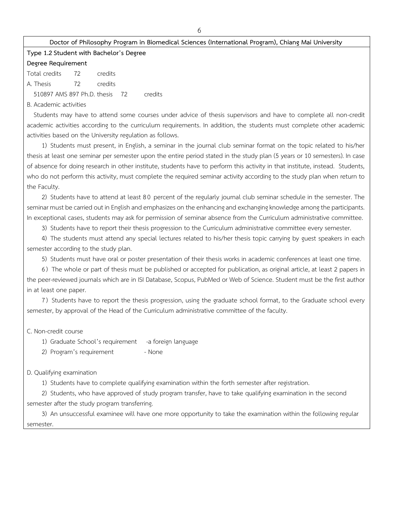#### **Doctor of Philosophy Program in Biomedical Sciences (International Program), Chiang Mai University**

### **Type 1.2Student with Bachelor's Degree**

#### **Degree Requirement**

Total credits 72 credits A. Thesis 72 credits

510897 AMS 897 Ph.D. thesis 72 credits

B. Academic activities

Students may have to attend some courses under advice of thesis supervisors and have to complete all non-credit academic activities according to the curriculum requirements. In addition, the students must complete other academic activities based on the University regulation as follows.

1) Students must present, in English, a seminar in the journal club seminar format on the topic related to his/her thesis at least one seminar per semester upon the entire period stated in the study plan (5 years or 10 semesters). In case of absence for doing research in other institute, students have to perform this activity in that institute, instead. Students, who do not perform this activity, must complete the required seminar activity according to the study plan when return to the Faculty.

2) Students have to attend at least 8 0 percent of the regularly journal club seminar schedule in the semester. The seminar must be carried out in English and emphasizes on the enhancing and exchanging knowledge among the participants. In exceptional cases, students may ask for permission of seminar absence from the Curriculum administrative committee.

3) Students have to report their thesis progression to the Curriculum administrative committee every semester.

4) The students must attend any special lectures related to his/her thesis topic carrying by guest speakers in each semester according to the study plan.

5) Students must have oral or poster presentation of their thesis works in academic conferences at least one time.

6) The whole or part of thesis must be published or accepted for publication, as original article, at least 2 papers in the peer-reviewed journals which are in ISI Database, Scopus, PubMed or Web of Science. Student must be the first author in at least one paper.

7) Students have to report the thesis progression, using the graduate school format, to the Graduate school every semester, by approval of the Head of the Curriculum administrative committee of the faculty.

C. Non-credit course

1) Graduate School's requirement -a foreign language

2) Program's requirement - None

#### D. Qualifying examination

1) Students have to complete qualifying examination within the forth semester after registration.

2) Students, who have approved of study program transfer, have to take qualifying examination in the second semester after the study program transferring.

3) An unsuccessful examinee will have one more opportunity to take the examination within the following regular semester.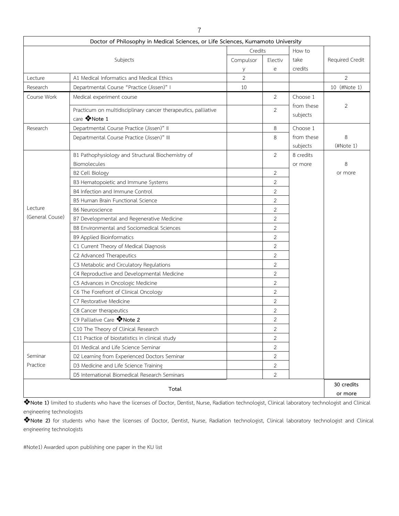|                 | Doctor of Philosophy in Medical Sciences, or Life Sciences, Kumamoto University |           |                                                                                                                                                                                                                                                                                                                                                                         |        |                 |
|-----------------|---------------------------------------------------------------------------------|-----------|-------------------------------------------------------------------------------------------------------------------------------------------------------------------------------------------------------------------------------------------------------------------------------------------------------------------------------------------------------------------------|--------|-----------------|
|                 |                                                                                 |           |                                                                                                                                                                                                                                                                                                                                                                         | How to |                 |
|                 | Subjects                                                                        | Compulsor | Electiv                                                                                                                                                                                                                                                                                                                                                                 | take   | Required Credit |
|                 |                                                                                 | у         | Credits<br>credits<br>e<br>$\overline{2}$<br>10<br>Choose 1<br>2<br>from these<br>2<br>subjects<br>Choose 1<br>8<br>from these<br>8<br>subjects<br>2<br>8 credits<br>or more<br>2<br>2<br>$\mathbf{2}$<br>2<br>2<br>$\mathbf{2}$<br>2<br>2<br>2<br>2<br>2<br>$\overline{2}$<br>2<br>2<br>$\overline{2}$<br>$\overline{2}$<br>2<br>$\overline{c}$<br>$\overline{2}$<br>2 |        |                 |
| Lecture         | A1 Medical Informatics and Medical Ethics                                       |           |                                                                                                                                                                                                                                                                                                                                                                         |        | 2               |
| Research        | Departmental Course "Practice (Jissen)" I                                       |           |                                                                                                                                                                                                                                                                                                                                                                         |        | 10 (#Note 1)    |
| Course Work     | Medical experiment course                                                       |           |                                                                                                                                                                                                                                                                                                                                                                         |        |                 |
|                 | Practicum on multidisciplinary cancer therapeutics, palliative<br>care VNote 1  |           |                                                                                                                                                                                                                                                                                                                                                                         |        | $\overline{2}$  |
| Research        | Departmental Course Practice (Jissen)" II                                       |           |                                                                                                                                                                                                                                                                                                                                                                         |        |                 |
|                 | Departmental Course Practice (Jissen)" III                                      |           |                                                                                                                                                                                                                                                                                                                                                                         |        | 8<br>(HNote 1)  |
|                 | B1 Pathophysiology and Structural Biochemistry of                               |           |                                                                                                                                                                                                                                                                                                                                                                         |        |                 |
|                 | Biomolecules                                                                    |           |                                                                                                                                                                                                                                                                                                                                                                         |        | 8               |
|                 | <b>B2 Cell Biology</b>                                                          |           |                                                                                                                                                                                                                                                                                                                                                                         |        | or more         |
|                 | B3 Hematopoietic and Immune Systems                                             |           |                                                                                                                                                                                                                                                                                                                                                                         |        |                 |
|                 | B4 Infection and Immune Control                                                 |           |                                                                                                                                                                                                                                                                                                                                                                         |        |                 |
|                 | B5 Human Brain Functional Science                                               |           |                                                                                                                                                                                                                                                                                                                                                                         |        |                 |
| Lecture         | <b>B6 Neuroscience</b>                                                          |           |                                                                                                                                                                                                                                                                                                                                                                         |        |                 |
| (General Couse) | B7 Developmental and Regenerative Medicine                                      |           |                                                                                                                                                                                                                                                                                                                                                                         |        |                 |
|                 | B8 Environmental and Sociomedical Sciences                                      |           |                                                                                                                                                                                                                                                                                                                                                                         |        |                 |
|                 | <b>B9 Applied Bioinformatics</b>                                                |           |                                                                                                                                                                                                                                                                                                                                                                         |        |                 |
|                 | C1 Current Theory of Medical Diagnosis                                          |           |                                                                                                                                                                                                                                                                                                                                                                         |        |                 |
|                 | C2 Advanced Therapeutics                                                        |           |                                                                                                                                                                                                                                                                                                                                                                         |        |                 |
|                 | C3 Metabolic and Circulatory Regulations                                        |           |                                                                                                                                                                                                                                                                                                                                                                         |        |                 |
|                 | C4 Reproductive and Developmental Medicine                                      |           |                                                                                                                                                                                                                                                                                                                                                                         |        |                 |
|                 | C5 Advances in Oncologic Medicine                                               |           |                                                                                                                                                                                                                                                                                                                                                                         |        |                 |
|                 | C6 The Forefront of Clinical Oncology                                           |           |                                                                                                                                                                                                                                                                                                                                                                         |        |                 |
|                 | C7 Restorative Medicine                                                         |           |                                                                                                                                                                                                                                                                                                                                                                         |        |                 |
|                 | C8 Cancer therapeutics                                                          |           |                                                                                                                                                                                                                                                                                                                                                                         |        |                 |
|                 | C9 Palliative Care W Note 2                                                     |           |                                                                                                                                                                                                                                                                                                                                                                         |        |                 |
|                 | C10 The Theory of Clinical Research                                             |           |                                                                                                                                                                                                                                                                                                                                                                         |        |                 |
|                 | C11 Practice of biostatistics in clinical study                                 |           |                                                                                                                                                                                                                                                                                                                                                                         |        |                 |
|                 | D1 Medical and Life Science Seminar                                             |           |                                                                                                                                                                                                                                                                                                                                                                         |        |                 |
| Seminar         | D2 Learning from Experienced Doctors Seminar                                    |           | 2                                                                                                                                                                                                                                                                                                                                                                       |        |                 |
| Practice        | D3 Medicine and Life Science Training                                           |           | $\overline{2}$                                                                                                                                                                                                                                                                                                                                                          |        |                 |
|                 | D5 International Biomedical Research Seminars                                   |           | 2                                                                                                                                                                                                                                                                                                                                                                       |        |                 |
|                 | Total                                                                           |           |                                                                                                                                                                                                                                                                                                                                                                         |        | 30 credits      |
|                 |                                                                                 |           |                                                                                                                                                                                                                                                                                                                                                                         |        | or more         |

❖**Note 1)** limited to students who have the licenses of Doctor, Dentist, Nurse, Radiation technologist, Clinical laboratory technologist and Clinical engineering technologists

❖**Note 2)** for students who have the licenses of Doctor, Dentist, Nurse, Radiation technologist, Clinical laboratory technologist and Clinical engineering technologists

#Note1) Awarded upon publishing one paper in the KU list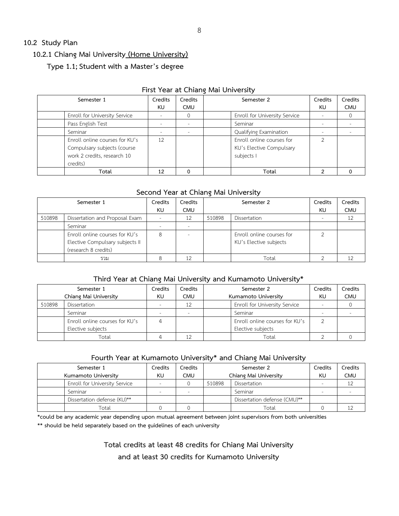### **10.2 Study Plan**

### **10.2.1 Chiang Mai University (Home University)**

## **Type 1.1;Student with a Master's degree**

| Semester 1                     | Credits                  | Credits    |  | Semester 2                    | Credits | Credits    |  |  |  |  |
|--------------------------------|--------------------------|------------|--|-------------------------------|---------|------------|--|--|--|--|
|                                | KU.                      | <b>CMU</b> |  |                               | KU.     | <b>CMU</b> |  |  |  |  |
| Enroll for University Service  | $\sim$                   |            |  | Enroll for University Service |         |            |  |  |  |  |
| Pass English Test              |                          |            |  | Seminar                       |         |            |  |  |  |  |
| Seminar                        | $\overline{\phantom{a}}$ |            |  | Qualifying Examination        |         |            |  |  |  |  |
| Enroll online courses for KU's | 12                       |            |  | Enroll online courses for     | ◠       |            |  |  |  |  |
| Compulsary subjects (course    |                          |            |  | KU's Elective Compulsary      |         |            |  |  |  |  |
| work 2 credits, research 10    |                          |            |  | subjects I                    |         |            |  |  |  |  |
| credits)                       |                          |            |  |                               |         |            |  |  |  |  |
| Total                          | 12                       |            |  | Total                         |         |            |  |  |  |  |

### **First Year at Chiang Mai University**

### **Second Year at Chiang Mai University**

| Semester 1 |                                                                                           | Credits                  | Credits    |        | Semester 2                                          | Credits | Credits    |
|------------|-------------------------------------------------------------------------------------------|--------------------------|------------|--------|-----------------------------------------------------|---------|------------|
|            |                                                                                           | KU.                      | <b>CMU</b> |        |                                                     | KU.     | <b>CMU</b> |
| 510898     | Dissertation and Proposal Exam                                                            | $\overline{\phantom{a}}$ | 12         | 510898 | Dissertation                                        |         | 12         |
|            | Seminar                                                                                   |                          |            |        |                                                     |         |            |
|            | Enroll online courses for KU's<br>Elective Compulsary subjects II<br>(research 8 credits) | 8                        |            |        | Enroll online courses for<br>KU's Elective subjects |         |            |
|            | รวม                                                                                       |                          | 12         |        | Total                                               |         |            |

### **Third Year at Chiang Mai University and Kumamoto University\***

| Semester 1            |                                | Credits | Credits                  | Semester 2                     | Credits | Credits    |
|-----------------------|--------------------------------|---------|--------------------------|--------------------------------|---------|------------|
| Chiang Mai University |                                | KU.     | <b>CMU</b>               | Kumamoto University            | KU.     | <b>CMU</b> |
| 510898                | Dissertation                   |         | 12                       | Enroll for University Service  |         |            |
|                       | Seminar                        |         | $\overline{\phantom{a}}$ | Seminar                        |         |            |
|                       | Enroll online courses for KU's |         |                          | Enroll online courses for KU's |         |            |
|                       | Elective subjects              |         |                          | Elective subjects              |         |            |
|                       | Total                          |         | $1^{\circ}$              | Total                          |         |            |

# **Fourth Year at Kumamoto University\* and Chiang Mai University**

| Semester 1                    | Credits | Credits    | Semester 2 |                              | Credits | Credits    |
|-------------------------------|---------|------------|------------|------------------------------|---------|------------|
| Kumamoto University           | KU      | <b>CMU</b> |            | Chiang Mai University        |         | <b>CMU</b> |
| Enroll for University Service |         |            | 510898     | Dissertation                 |         | 12         |
| Seminar                       |         |            |            | Seminar                      |         |            |
| Dissertation defense (KU)**   |         |            |            | Dissertation defense (CMU)** |         |            |
| "otal                         |         |            |            | Total                        |         | 12         |

**\*could be any academic year depending upon mutual agreement between joint supervisors from both universities**

**\*\* should be held separately based on the guidelines of each university**

**Total credits at least 48 credits for Chiang Mai University** 

**and at least 30 credits for Kumamoto University**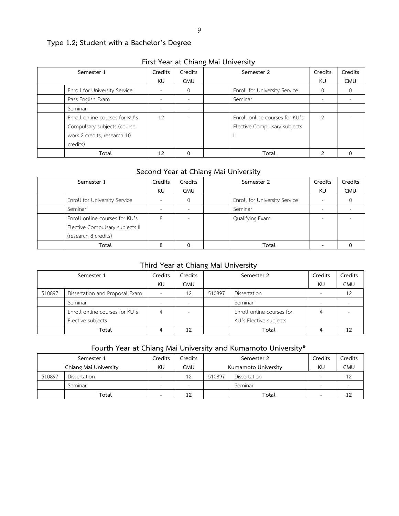# **Type 1.2; Student with a Bachelor's Degree**

| <b>FILSE TEAL AL CHIATIVE MAL UTILY ELSILY</b> |                          |                          |  |                                |                |                  |  |  |  |
|------------------------------------------------|--------------------------|--------------------------|--|--------------------------------|----------------|------------------|--|--|--|
| Semester 1                                     | Credits                  | Credits                  |  | Semester 2                     | Credits        | Credits          |  |  |  |
|                                                | KU                       | <b>CMU</b>               |  |                                | KU             | <b>CMU</b>       |  |  |  |
| Enroll for University Service                  |                          | 0                        |  | Enroll for University Service  |                | $\left( \right)$ |  |  |  |
| Pass English Exam                              |                          |                          |  | Seminar                        |                |                  |  |  |  |
| Seminar                                        | $\overline{\phantom{a}}$ | ۰                        |  |                                |                |                  |  |  |  |
| Enroll online courses for KU's                 | 12                       | $\overline{\phantom{a}}$ |  | Enroll online courses for KU's | $\overline{2}$ |                  |  |  |  |
| Compulsary subjects (course                    |                          |                          |  | Elective Compulsary subjects   |                |                  |  |  |  |
| work 2 credits, research 10                    |                          |                          |  |                                |                |                  |  |  |  |
| credits)                                       |                          |                          |  |                                |                |                  |  |  |  |
| Total                                          | 12                       | 0                        |  | Total                          | າ              |                  |  |  |  |

# **First Year at Chiang Mai University**

### **Second Year at Chiang Mai University**

| Semester 1                      | Credits | Credits    | Semester 2                    |    | Credits    |
|---------------------------------|---------|------------|-------------------------------|----|------------|
|                                 | KU      | <b>CMU</b> |                               | KU | <b>CMU</b> |
| Enroll for University Service   |         |            | Enroll for University Service |    |            |
| Seminar                         | $\sim$  |            | Seminar                       |    |            |
| Enroll online courses for KU's  | 8       |            | Qualifying Exam               | -  |            |
| Elective Compulsary subjects II |         |            |                               |    |            |
| (research 8 credits)            |         |            |                               |    |            |
| Total                           |         |            | Total                         |    |            |

### **Third Year at Chiang Mai University**

| Semester 1 |                                | Credits                  | Credits                  | Semester 2 |                           | Credits | Credits    |
|------------|--------------------------------|--------------------------|--------------------------|------------|---------------------------|---------|------------|
|            |                                | KU                       | <b>CMU</b>               |            |                           | KU      | <b>CMU</b> |
| 510897     | Dissertation and Proposal Exam | $\overline{\phantom{a}}$ | 12                       | 510897     | Dissertation              |         |            |
|            | Seminar                        | $\overline{\phantom{a}}$ | $\overline{\phantom{a}}$ |            | Seminar                   |         |            |
|            | Enroll online courses for KU's | 4                        |                          |            | Enroll online courses for |         |            |
|            | Elective subjects              |                          |                          |            | KU's Elective subjects    |         |            |
|            | Total                          | 4                        | 12                       |            | Total                     |         | 12         |

# **Fourth Year at Chiang Mai University and Kumamoto University\***

| Semester 1            |              | Credits | Credits                  | Semester 2          |              | Credits | Credits    |
|-----------------------|--------------|---------|--------------------------|---------------------|--------------|---------|------------|
| Chiang Mai University |              | KU      | CMU                      | Kumamoto University |              | KU      | <b>CMU</b> |
| 510897                | Dissertation | $\sim$  | 12                       | 510897              | Dissertation |         | ⊥∠         |
|                       | Seminar      | $\sim$  | $\overline{\phantom{a}}$ |                     | Seminar      | $\sim$  |            |
|                       | Total        | -       | 12                       |                     | Total        |         | 12         |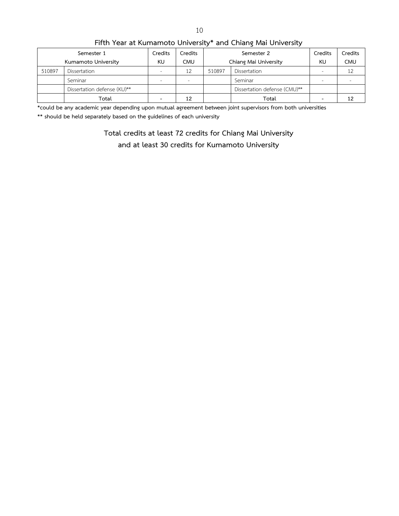| Semester 1          |                             | Credits                  | Credits    |                       | Semester 2                   | Credits                  | Credits    |  |  |  |  |
|---------------------|-----------------------------|--------------------------|------------|-----------------------|------------------------------|--------------------------|------------|--|--|--|--|
| Kumamoto University |                             | KU                       | <b>CMU</b> | Chiang Mai University |                              | KU                       | <b>CMU</b> |  |  |  |  |
| 510897              | Dissertation                | $\overline{\phantom{a}}$ | 12         | 510897                | Dissertation                 | $\sim$                   | 12         |  |  |  |  |
|                     | Seminar                     | $\sim$                   |            |                       | Seminar                      |                          | $\sim$     |  |  |  |  |
|                     | Dissertation defense (KU)** |                          |            |                       | Dissertation defense (CMU)** |                          |            |  |  |  |  |
|                     | Total                       | $\qquad \qquad$          | 12         |                       | Total                        | $\overline{\phantom{0}}$ | 12         |  |  |  |  |

**Fifth Year at Kumamoto University\* and Chiang Mai University**

**\*could be any academic year depending upon mutual agreement between joint supervisors from both universities**

**\*\* should be held separately based on the guidelines of each university**

**Total credits at least 72 credits for Chiang Mai University** 

**and at least 30 credits for Kumamoto University**